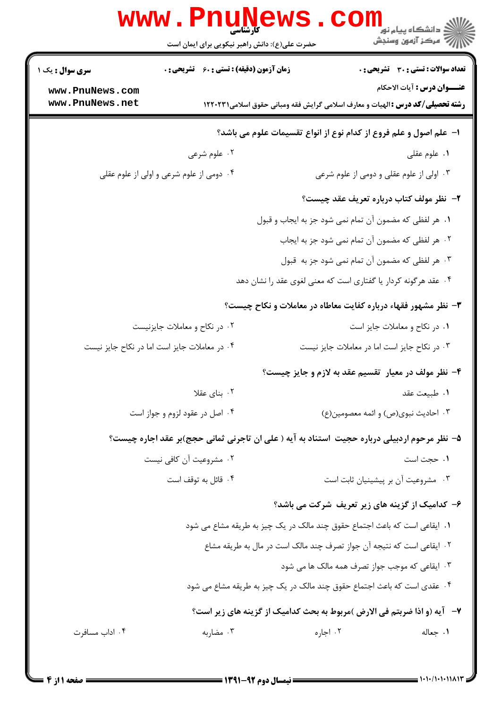|                                                                           | www.PnuNews.<br>حضرت علی(ع): دانش راهبر نیکویی برای ایمان است                               |                                                                   | الا دانشگاه پیام نور COM<br>این کار آزمون وسنجش                                    |  |  |  |
|---------------------------------------------------------------------------|---------------------------------------------------------------------------------------------|-------------------------------------------------------------------|------------------------------------------------------------------------------------|--|--|--|
| <b>سری سوال :</b> یک ۱<br>www.PnuNews.com<br>www.PnuNews.net              | <b>زمان آزمون (دقیقه) : تستی : 60 ٪ تشریحی : 0</b>                                          |                                                                   | <b>تعداد سوالات : تستی : 30 ٪ تشریحی : 0</b><br><b>عنـــوان درس :</b> آيات الاحكام |  |  |  |
|                                                                           | <b>رشته تحصیلی/کد درس :</b> الهیات و معارف اسلامی گرایش فقه ومبانی حقوق اسلامی1۲۲۰۲۳۱       |                                                                   |                                                                                    |  |  |  |
|                                                                           |                                                                                             | ا– علم اصول و علم فروع از کدام نوع از انواع تقسیمات علوم می باشد؟ |                                                                                    |  |  |  |
|                                                                           | ۰۲ علوم شرعی                                                                                |                                                                   | ۰۱ علوم عقلی                                                                       |  |  |  |
|                                                                           | ۰۴ دومی از علوم شرعی و اولی از علوم عقلی                                                    |                                                                   | ۰۳ اولی از علوم عقلی و دومی از علوم شرعی                                           |  |  |  |
|                                                                           |                                                                                             |                                                                   | ۲– نظر مولف کتاب درباره تعریف عقد چیست؟                                            |  |  |  |
|                                                                           |                                                                                             | ٠١ هر لفظي كه مضمون آن تمام نمي شود جز به ايجاب و قبول            |                                                                                    |  |  |  |
|                                                                           |                                                                                             |                                                                   | ۰۲ هر لفظی که مضمون آن تمام نمی شود جز به ایجاب                                    |  |  |  |
|                                                                           |                                                                                             |                                                                   | ۰۳ هر لفظی که مضمون آن تمام نمی شود جز به قبول                                     |  |  |  |
|                                                                           |                                                                                             | ۰۴ عقد هرگونه کردار یا گفتاری است که معنی لغوی عقد را نشان دهد    |                                                                                    |  |  |  |
| ۳- نظر مشهور فقهاء درباره کفایت معاطاه در معاملات و نکاح چیست؟            |                                                                                             |                                                                   |                                                                                    |  |  |  |
|                                                                           | ۰۲ در نکاح و معاملات جایزنیست                                                               |                                                                   | ٠١ در نكاح و معاملات جايز است                                                      |  |  |  |
|                                                                           | ۰۴ در معاملات جایز است اما در نکاح جایز نیست                                                | ۰۳ در نکاح جایز است اما در معاملات جایز نیست                      |                                                                                    |  |  |  |
|                                                                           |                                                                                             |                                                                   | ۴- نظر مولف در معیار تقسیم عقد به لازم و جایز چیست؟                                |  |  |  |
|                                                                           | ۰۲ بنای عقلا                                                                                |                                                                   | ٠١ طبيعت عقد                                                                       |  |  |  |
|                                                                           | ۰۴ اصل در عقود لزوم و جواز است                                                              |                                                                   | ۰۳ احادیث نبوی(ص) و ائمه معصومین(ع)                                                |  |  |  |
|                                                                           | ۵– نظر مرحوم اردبیلی درباره حجیت استناد به آیه ( علی ان تاجرنی ثمانی حجج)بر عقد اجاره چیست؟ |                                                                   |                                                                                    |  |  |  |
|                                                                           | ۰۲ مشروعیت آن کافی نیست                                                                     |                                                                   | ۰۱ حجت است                                                                         |  |  |  |
|                                                                           | ۰۴ قائل به توقف است                                                                         |                                                                   | ۰۳ مشروعیت آن بر پیشینیان ثابت است                                                 |  |  |  |
| ۶- کدامیک از گزینه های زیر تعریف شرکت می باشد؟                            |                                                                                             |                                                                   |                                                                                    |  |  |  |
| ١. ايقاعي است كه باعث اجتماع حقوق چند مالك در يك چيز به طريقه مشاع مي شود |                                                                                             |                                                                   |                                                                                    |  |  |  |
| ٢. ايقاعي است كه نتيجه آن جواز تصرف چند مالك است در مال به طريقه مشاع     |                                                                                             |                                                                   |                                                                                    |  |  |  |
| ۰۳ ایقاعی که موجب جواز تصرف همه مالک ها می شود                            |                                                                                             |                                                                   |                                                                                    |  |  |  |
|                                                                           | ۰۴ عقدی است که باعث اجتماع حقوق چند مالک در یک چیز به طریقه مشاع می شود                     |                                                                   |                                                                                    |  |  |  |
|                                                                           |                                                                                             |                                                                   | ٧-   آيه (و اذا ضربتم في الارض )مربوط به بحث كداميك از گزينه هاي زير است؟          |  |  |  |
| ۰۴ اداب مسافرت                                                            | ۰۳ مضاربه                                                                                   | ۰۲ اجاره                                                          | ٠١ جعاله                                                                           |  |  |  |
|                                                                           |                                                                                             |                                                                   |                                                                                    |  |  |  |

 $= 1.1 - (1.111111)$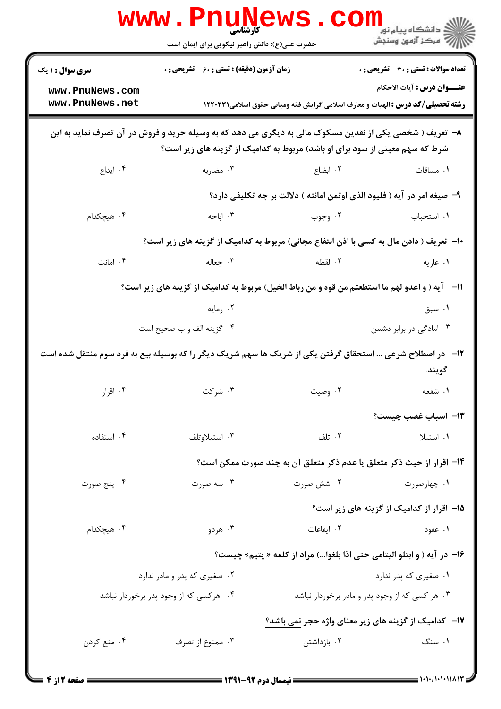|                                                                                                                                                                                        | <b>www.PnuNews</b><br>حضرت علی(ع): دانش راهبر نیکویی برای ایمان است                            |                                                                                       | لاد دانشڪاه پيام نور<br>الله عرکز آزمون وسنڊش                                      |  |  |  |
|----------------------------------------------------------------------------------------------------------------------------------------------------------------------------------------|------------------------------------------------------------------------------------------------|---------------------------------------------------------------------------------------|------------------------------------------------------------------------------------|--|--|--|
| <b>سری سوال : ۱ یک</b><br>www.PnuNews.com<br>www.PnuNews.net                                                                                                                           | <b>زمان آزمون (دقیقه) : تستی : 60 ٪ تشریحی : 0</b>                                             | <b>رشته تحصیلی/کد درس :</b> الهیات و معارف اسلامی گرایش فقه ومبانی حقوق اسلامی1۲۲۰۲۳۱ | <b>تعداد سوالات : تستی : 30 ٪ تشریحی : 0</b><br><b>عنـــوان درس :</b> آيات الاحكام |  |  |  |
| ۸– تعریف ( شخصی یکی از نقدین مسکوک مالی به دیگری می دهد که به وسیله خرید و فروش در آن تصرف نماید به این<br>شرط که سهم معینی از سود برای او باشد) مربوط به کدامیک از گزینه های زیر است؟ |                                                                                                |                                                                                       |                                                                                    |  |  |  |
| ۰۴ ایداع                                                                                                                                                                               | ۰۳ مضاربه                                                                                      | ۰۲ ابضاع                                                                              | ٠١. مساقات                                                                         |  |  |  |
|                                                                                                                                                                                        |                                                                                                | ۹- صيغه امر در آيه ( فليود الذي اوتمن امانته ) دلالت بر چه تكليفي دارد؟               |                                                                                    |  |  |  |
| ۰۴ هیچکدام                                                                                                                                                                             | ۰۳ اباحه                                                                                       | ۰۲ وجوب                                                                               | ٠١. استحباب                                                                        |  |  |  |
|                                                                                                                                                                                        | <b>۱۰</b> - تعریف ( دادن مال به کسی با اذن انتفاع مجانی) مربوط به کدامیک از گزینه های زیر است؟ |                                                                                       |                                                                                    |  |  |  |
| ۰۴ امانت                                                                                                                                                                               | ۰۳ جعاله                                                                                       | ۲. لقطه                                                                               | ۰۱ عاریه                                                                           |  |  |  |
|                                                                                                                                                                                        | 11- آيه ( و اعدو لهم ما استطعتم من قوه و من رباط الخيل) مربوط به كداميك از گزينه هاي زير است؟  |                                                                                       |                                                                                    |  |  |  |
|                                                                                                                                                                                        | ۰۲ رمایه                                                                                       |                                                                                       | ۰۱ سبق                                                                             |  |  |  |
|                                                                                                                                                                                        | ۰۴ گزينه الف و ب صحيح است                                                                      |                                                                                       | ۰۳ امادگی در برابر دشمن                                                            |  |  |  |
| ۱۲- در اصطلاح شرعی … استحقاق گرفتن یکی از شریک ها سهم شریک دیگر را که بوسیله بیع به فرد سوم منتقل شده است                                                                              |                                                                                                |                                                                                       |                                                                                    |  |  |  |
|                                                                                                                                                                                        |                                                                                                |                                                                                       | گويند.                                                                             |  |  |  |
| ۰۴ اقرار                                                                                                                                                                               | ۰۳ شرکت                                                                                        | ۰۲ وصیت                                                                               | ۱. شفعه                                                                            |  |  |  |
|                                                                                                                                                                                        |                                                                                                |                                                                                       | ۱۳– اسباب غضب چیست؟                                                                |  |  |  |
| ۰۴ استفاده                                                                                                                                                                             | ۰۳ استیلاوتلف                                                                                  | ۰۲ تلف                                                                                | ٠١. استيلا                                                                         |  |  |  |
|                                                                                                                                                                                        |                                                                                                | ۱۴– اقرار از حیث ذکر متعلق یا عدم ذکر متعلق آن به چند صورت ممکن است؟                  |                                                                                    |  |  |  |
| ۰۴ پنج صورت                                                                                                                                                                            | ۰۳ سه صورت                                                                                     | ۰۲ شش صورت                                                                            | ۰۱ چهارصورت                                                                        |  |  |  |
|                                                                                                                                                                                        |                                                                                                |                                                                                       | ۱۵– اقرار از کدامیک از گزینه های زیر است؟                                          |  |  |  |
| ۰۴ هیچکدام                                                                                                                                                                             | ۰۳ هردو                                                                                        | ٠٢ ايقاعات                                                                            | ۰۱ عقود                                                                            |  |  |  |
|                                                                                                                                                                                        |                                                                                                | ۱۶- در آیه ( و ابتلو الیتامی حتی اذا بلغوا…) مراد از کلمه « یتیم» چیست؟               |                                                                                    |  |  |  |
|                                                                                                                                                                                        | ۰۲ صغیری که پدر و مادر ندارد                                                                   |                                                                                       | ۰۱ صغیری که پدر ندارد                                                              |  |  |  |
|                                                                                                                                                                                        | ۰۴ هرکسی که از وجود پدر برخوردار نباشد                                                         | ۰۳ هر کسی که از وجود پدر و مادر برخوردار نباشد                                        |                                                                                    |  |  |  |
|                                                                                                                                                                                        |                                                                                                | <b>۱۷</b> - کدامیک از گزینه های زیر معنای واژه حجر نمی باشد؟                          |                                                                                    |  |  |  |
| ۰۴ منع کردن                                                                                                                                                                            | ۰۳ ممنوع از تصرف                                                                               | ۰۲ بازداشتن                                                                           | ۰۱ سنگ                                                                             |  |  |  |
|                                                                                                                                                                                        |                                                                                                |                                                                                       |                                                                                    |  |  |  |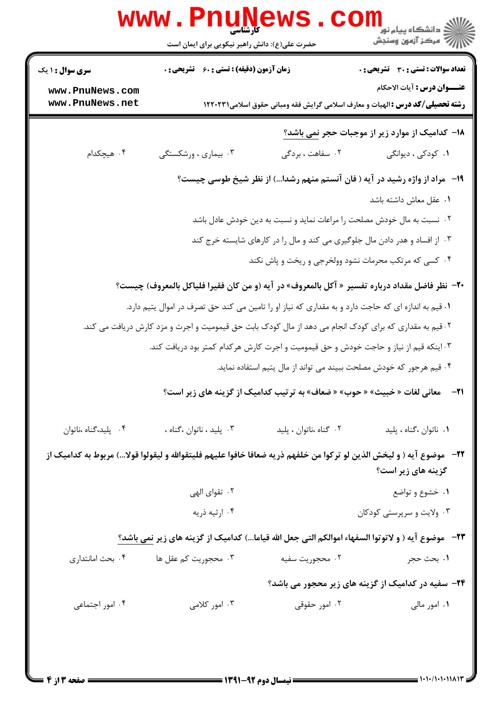|                                    | حضرت علی(ع): دانش راهبر نیکویی برای ایمان است                                                                          |                        | دانشگاه پيام نور<br>ا <mark>∜</mark> مرکز آزمهن وسنجش                                                                       |
|------------------------------------|------------------------------------------------------------------------------------------------------------------------|------------------------|-----------------------------------------------------------------------------------------------------------------------------|
| <b>سری سوال : ۱ یک</b>             | زمان آزمون (دقیقه) : تستی : 60 ٪ تشریحی : 0                                                                            |                        | تعداد سوالات : تستي : 30 - تشريحي : 0                                                                                       |
| www.PnuNews.com<br>www.PnuNews.net |                                                                                                                        |                        | <b>عنـــوان درس :</b> آيات الاحكام<br><b>رشته تحصیلی/کد درس :</b> الهیات و معارف اسلامی گرایش فقه ومبانی حقوق اسلامی1۲۲۰۲۳۱ |
|                                    |                                                                                                                        |                        | <b>۱۸</b> – کدامیک از موارد زیر از موجبات حجر نمی باشد؟                                                                     |
| ۰۴ هیچکدام                         | ۰۳ بیماری ، ورشکستگی                                                                                                   | ۰۲ سفاهت ، بردگی       | ۰۱ کودکی ، دیوانگی                                                                                                          |
|                                    |                                                                                                                        |                        | ۱۹-۔ مراد از واژه رشید در آیه ( فان آنستم منهم رشدا…) از نظر شیخ طوسی چیست؟                                                 |
|                                    |                                                                                                                        |                        | ٠١ عقل معاش داشته باشد                                                                                                      |
|                                    |                                                                                                                        |                        | ۰۲ نسبت به مال خودش مصلحت را مراعات نماید و نسبت به دین خودش عادل باشد                                                      |
|                                    |                                                                                                                        |                        | ۰۳ از افساد و هدر دادن مال جلوگیری می کند و مال را در کارهای شایسته خرج کند                                                 |
|                                    |                                                                                                                        |                        | ۰۴ کسی که مرتکب محرمات نشود وولخرجی و ریخت و پاش نکند                                                                       |
|                                    | +٢-  نظر فاضل مقداد درباره تفسير « آكل بالمعروف» در آيه (و من كان فقيرا فلياكل بالمعروف) چيست؟                         |                        |                                                                                                                             |
|                                    | ۰۱ قیم به اندازه ای که حاجت دارد و به مقداری که نیاز او را تامین می کند حق تصرف در اموال یتیم دارد.                    |                        |                                                                                                                             |
|                                    | ۰۲قیم به مقداری که برای کودک انجام می دهد از مال کودک بابت حق قیمومیت و اجرت و مزد کارش دریافت می کند.                 |                        |                                                                                                                             |
|                                    | ۰۳ اینکه قیم از نیاز و حاجت خودش و حق قیمومیت و اجرت کارش هرکدام کمتر بود دریافت کند.                                  |                        |                                                                                                                             |
|                                    |                                                                                                                        |                        | ۰۴ قیم هرجور که خودش مصلحت ببیند می تواند از مال یتیم استفاده نماید.                                                        |
|                                    |                                                                                                                        |                        | 21− معانی لغات « خبیث» « حوب» « ضعاف» به ترتیب کدامیک از گزینه های زیر است؟                                                 |
| ۰۴ پلید،گناه ،ناتوان               | ۰۳ پلید ، ناتوان ،گناه ،                                                                                               | ٠٢ گناه ،ناتوان ، پليد | ٠١ ناتوان ،كناه ، پليد                                                                                                      |
|                                    | ٢٢–   موضوع آيه ( و ليخش الذين لو تركوا من خلفهم ذريه ضعافا خافوا عليهم فليتقوالله و ليقولوا قولا…) مربوط به كداميك از |                        | گزینه های زیر است؟                                                                                                          |
|                                    | ۰۲ تقوای الهی                                                                                                          |                        | ۰۱ خشوع و تواضع                                                                                                             |
|                                    | ۰۴ ارثیه ذریه                                                                                                          |                        | ۰۳ ولايت و سرپرستي کودکان                                                                                                   |
|                                    | ٢٣-   موضوع آيه ( و لاتوتوا السفهاء اموالكم التي جعل الله قياما…) كداميك از گزينه هاي زير نمي باشد؟                    |                        |                                                                                                                             |
| ۰۴ بحث امانتداري                   | ۰۳ محجوریت کم عقل ها                                                                                                   | ۰۲ محجوریت سفیه        | ١. بحث حجر                                                                                                                  |
|                                    |                                                                                                                        |                        | ۲۴- سفیه در کدامیک از گزینه های زیر محجور می باشد؟                                                                          |
| ۰۴ امور اجتماعی                    | ۰۳ امور کلامی                                                                                                          | ۰۲ امور حقوقی          | ۰۱ امور مالی                                                                                                                |